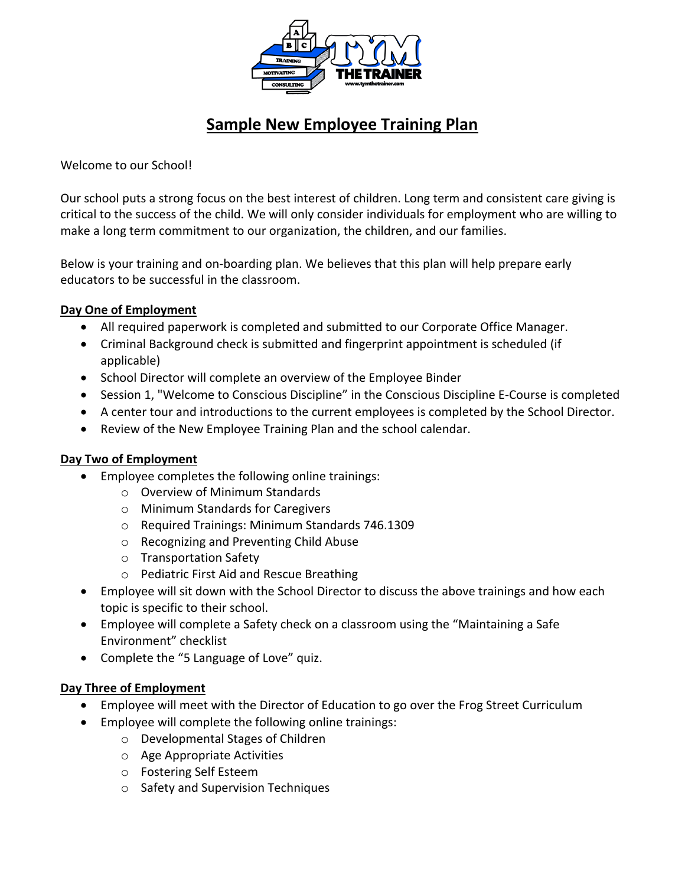

# **Sample New Employee Training Plan**

Welcome to our School!

Our school puts a strong focus on the best interest of children. Long term and consistent care giving is critical to the success of the child. We will only consider individuals for employment who are willing to make a long term commitment to our organization, the children, and our families.

Below is your training and on-boarding plan. We believes that this plan will help prepare early educators to be successful in the classroom.

## **Day One of Employment**

- All required paperwork is completed and submitted to our Corporate Office Manager.
- Criminal Background check is submitted and fingerprint appointment is scheduled (if applicable)
- School Director will complete an overview of the Employee Binder
- Session 1, "Welcome to Conscious Discipline" in the Conscious Discipline E-Course is completed
- A center tour and introductions to the current employees is completed by the School Director.
- Review of the New Employee Training Plan and the school calendar.

## **Day Two of Employment**

- Employee completes the following online trainings:
	- o Overview of Minimum Standards
	- o Minimum Standards for Caregivers
	- o Required Trainings: Minimum Standards 746.1309
	- o Recognizing and Preventing Child Abuse
	- o Transportation Safety
	- o Pediatric First Aid and Rescue Breathing
- Employee will sit down with the School Director to discuss the above trainings and how each topic is specific to their school.
- Employee will complete a Safety check on a classroom using the "Maintaining a Safe Environment" checklist
- Complete the "5 Language of Love" quiz.

#### **Day Three of Employment**

- Employee will meet with the Director of Education to go over the Frog Street Curriculum
- Employee will complete the following online trainings:
	- o Developmental Stages of Children
	- o Age Appropriate Activities
	- o Fostering Self Esteem
	- o Safety and Supervision Techniques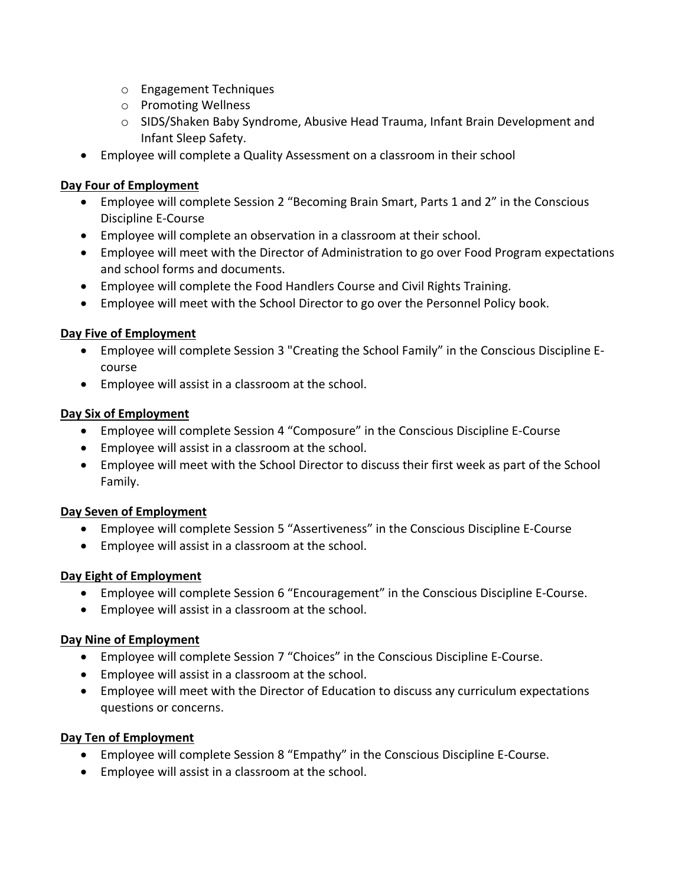- o Engagement Techniques
- o Promoting Wellness
- o SIDS/Shaken Baby Syndrome, Abusive Head Trauma, Infant Brain Development and Infant Sleep Safety.
- Employee will complete a Quality Assessment on a classroom in their school

## **Day Four of Employment**

- Employee will complete Session 2 "Becoming Brain Smart, Parts 1 and 2" in the Conscious Discipline E-Course
- Employee will complete an observation in a classroom at their school.
- Employee will meet with the Director of Administration to go over Food Program expectations and school forms and documents.
- Employee will complete the Food Handlers Course and Civil Rights Training.
- Employee will meet with the School Director to go over the Personnel Policy book.

# **Day Five of Employment**

- Employee will complete Session 3 "Creating the School Family" in the Conscious Discipline Ecourse
- Employee will assist in a classroom at the school.

# **Day Six of Employment**

- Employee will complete Session 4 "Composure" in the Conscious Discipline E-Course
- Employee will assist in a classroom at the school.
- Employee will meet with the School Director to discuss their first week as part of the School Family.

## **Day Seven of Employment**

- Employee will complete Session 5 "Assertiveness" in the Conscious Discipline E-Course
- Employee will assist in a classroom at the school.

## **Day Eight of Employment**

- Employee will complete Session 6 "Encouragement" in the Conscious Discipline E-Course.
- Employee will assist in a classroom at the school.

## **Day Nine of Employment**

- Employee will complete Session 7 "Choices" in the Conscious Discipline E-Course.
- Employee will assist in a classroom at the school.
- Employee will meet with the Director of Education to discuss any curriculum expectations questions or concerns.

## **Day Ten of Employment**

- Employee will complete Session 8 "Empathy" in the Conscious Discipline E-Course.
- Employee will assist in a classroom at the school.